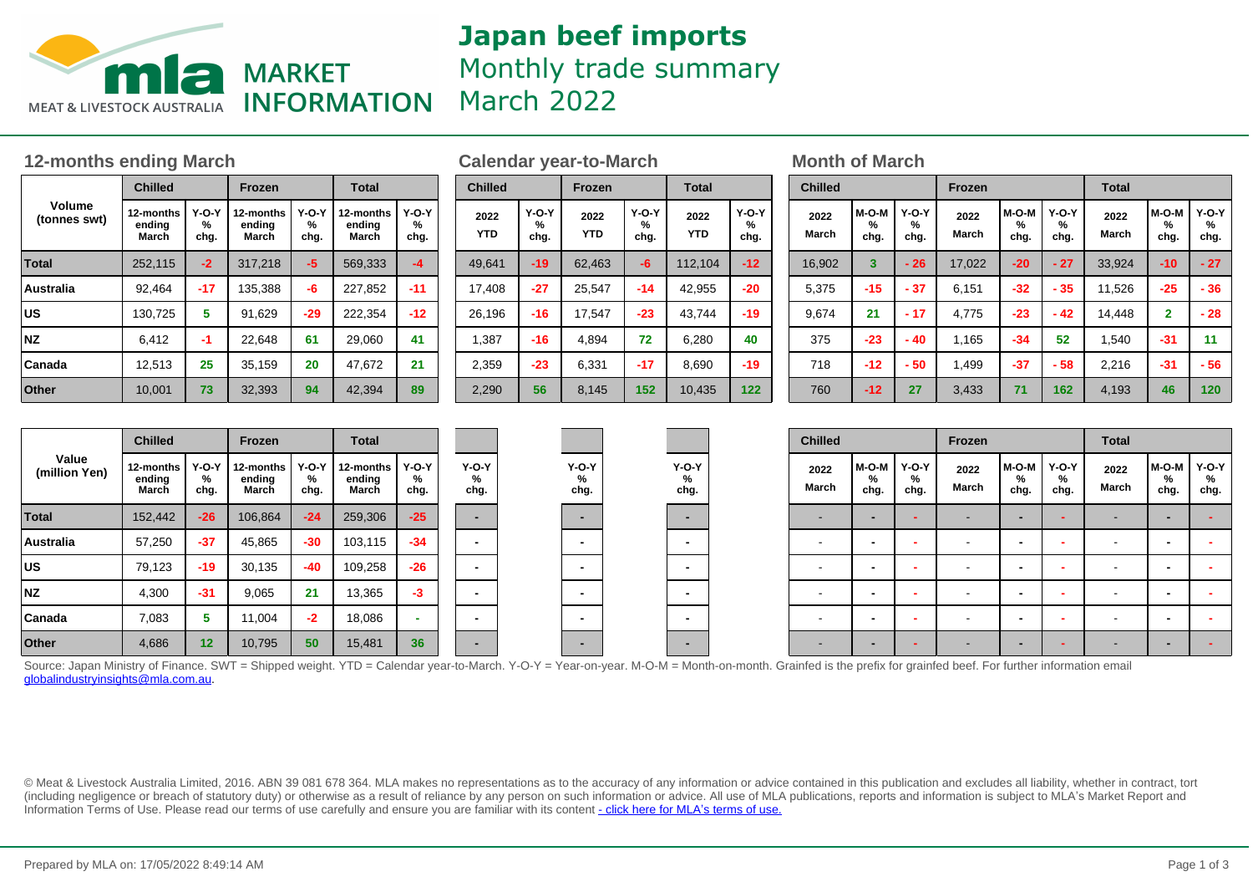

# **Japan beef imports** Monthly trade summary March 2022

## **12-months ending March Calendar year-to-March Month of March**

|                        | <b>Chilled</b>                                       |       | Frozen                       |                      | <b>Total</b>                 |                      |  |  |
|------------------------|------------------------------------------------------|-------|------------------------------|----------------------|------------------------------|----------------------|--|--|
| Volume<br>(tonnes swt) | $Y-O-Y$<br>12-months<br>ending<br>℅<br>March<br>chg. |       | 12-months<br>ending<br>March | $Y-O-Y$<br>℅<br>chg. | 12-months<br>ending<br>March | $Y-O-Y$<br>%<br>chg. |  |  |
| <b>Total</b>           | 252,115                                              | $-2$  | 317,218                      | -5                   | 569,333                      | -4                   |  |  |
| <b>Australia</b>       | 92,464                                               | $-17$ | 135,388                      | -6                   | 227,852                      | $-11$                |  |  |
| <b>US</b>              | 130,725                                              | 5     | 91,629                       | $-29$                | 222,354                      | $-12$                |  |  |
| <b>NZ</b>              | 6,412                                                | -1    | 22,648                       | 61                   | 29,060                       | 41                   |  |  |
| Canada                 | 12,513                                               | 25    | 35,159                       | 20                   | 47.672                       | 21                   |  |  |
| <b>Other</b>           | 10,001                                               | 73    | 32,393                       | 94                   | 42,394                       | 89                   |  |  |

| <b>Chilled</b> |                           | Frozen      |                      | <b>Total</b> |                      |
|----------------|---------------------------|-------------|----------------------|--------------|----------------------|
| 2022<br>YTD    | <b>Y-O-Y</b><br>℅<br>chg. | 2022<br>YTD | $Y-O-Y$<br>℅<br>chg. | 2022<br>YTD  | $Y-O-Y$<br>℅<br>chg. |
| 49.641         | $-19$                     | 62.463      | -6                   | 112,104      | $-12$                |
| 17.408         | $-27$                     | 25,547      | $-14$                | 42.955       | $-20$                |
| 26,196         | $-16$                     | 17.547      | $-23$                | 43.744       | $-19$                |
| 1,387          | $-16$                     | 4.894       | 72                   | 6.280        | 40                   |
| 2,359          | $-23$                     | 6,331       | $-17$                | 8,690        | $-19$                |
| 2,290          | 56                        | 8,145       | 152                  | 10,435       | 122                  |

| <b>Chilled</b> |                      |                           | <b>Frozen</b> |                      |                      | <b>Total</b>  |                    |                      |  |  |  |
|----------------|----------------------|---------------------------|---------------|----------------------|----------------------|---------------|--------------------|----------------------|--|--|--|
| 2022<br>March  | $M-O-M$<br>℅<br>chg. | <b>Y-O-Y</b><br>℅<br>chg. | 2022<br>March | $M-O-M$<br>℅<br>chg. | $Y-O-Y$<br>℅<br>chg. | 2022<br>March | M-O-M<br>%<br>chg. | $Y-O-Y$<br>%<br>chg. |  |  |  |
| 16,902         | 3                    | $-26$                     | 17,022        | $-20$                | $-27$                | 33,924        | $-10$              | $-27$                |  |  |  |
| 5.375          | $-15$                | $-37$                     | 6.151         | $-32$                | - 35                 | 11,526        | $-25$              | - 36                 |  |  |  |
| 9,674          | 21                   | $-17$                     | 4.775         | $-23$                | $-42$                | 14,448        | $\mathbf{2}$       | - 28                 |  |  |  |
| 375            | $-23$                | $-40$                     | 1,165         | $-34$                | 52                   | 1,540         | $-31$              | 11                   |  |  |  |
| 718            | $-12$                | - 50                      | 1,499         | $-37$                | - 58                 | 2,216         | $-31$              | - 56                 |  |  |  |
| 760            | $-12$                | 27                        | 3,433         | 71                   | 162                  | 4,193         | 46                 | 120                  |  |  |  |

| Value<br>(million Yen) | <b>Chilled</b>               |                      | Frozen                       |                      | <b>Total</b>                 |                      |                      |                      |                           | <b>Chilled</b> |                    |               | Frozen                   |               |                      | <b>Total</b>  |                    |                           |  |  |
|------------------------|------------------------------|----------------------|------------------------------|----------------------|------------------------------|----------------------|----------------------|----------------------|---------------------------|----------------|--------------------|---------------|--------------------------|---------------|----------------------|---------------|--------------------|---------------------------|--|--|
|                        | 12-months<br>ending<br>March | $Y-O-Y$<br>%<br>chg. | 12-months<br>ending<br>March | $Y-O-Y$<br>%<br>chg. | 12-months<br>ending<br>March | $Y-O-Y$<br>%<br>chg. | $Y-O-Y$<br>℅<br>chg. | $Y-O-Y$<br>%<br>chg. | <b>Y-O-Y</b><br>%<br>chg. | 2022<br>March  | M-O-M<br>%<br>chg. | Y-O-Y<br>chg. | 2022<br>March            | M-O-M<br>chg. | $Y-O-Y$<br>%<br>chg. | 2022<br>March | M-O-M<br>%<br>chg. | <b>Y-O-Y</b><br>%<br>chg. |  |  |
| Total                  | 152,442                      | $-26$                | 106,864                      | $-24$                | 259,306                      | $-25$                |                      |                      |                           |                |                    |               | $\blacksquare$           |               |                      |               |                    |                           |  |  |
| Australia              | 57,250                       | $-37$                | 45,865                       | $-30$                | 103,115                      | $-34$                | . .                  |                      |                           | . .            | . .                |               | $\,$                     |               |                      | . .           |                    |                           |  |  |
| <b>US</b>              | 79,123                       | $-19$                | 30,135                       | $-40$                | 109,258                      | $-26$                |                      |                      |                           | $\sim$         |                    |               | $\overline{\phantom{0}}$ |               |                      |               |                    |                           |  |  |
| NZ                     | 4,300                        | $-31$                | 9,065                        | 21                   | 13,365                       | $-3$                 |                      |                      | $\overline{\phantom{a}}$  | . .            | . .                |               | $\,$                     |               |                      |               |                    |                           |  |  |
| <b>Canada</b>          | 7,083                        |                      | 11,004                       | $-2$                 | 18,086                       |                      | . .                  |                      |                           | . .            |                    |               | $\,$                     |               |                      | . .           |                    |                           |  |  |
| Other                  | 4,686                        | 12                   | 10,795                       | 50                   | 15,481                       | 36                   |                      |                      |                           |                |                    |               |                          |               |                      |               |                    |                           |  |  |

**-**

Source: Japan Ministry of Finance. SWT = Shipped weight. YTD = Calendar year-to-March. Y-O-Y = Year-on-year. M-O-M = Month-on-month. Grainfed is the prefix for grainfed beef. For further information email globalindustryinsights@mla.com.au.

© Meat & Livestock Australia Limited, 2016. ABN 39 081 678 364. MLA makes no representations as to the accuracy of any information or advice contained in this publication and excludes all liability, whether in contract, tort (including negligence or breach of statutory duty) or otherwise as a result of reliance by any person on such information or advice. All use of MLA publications, reports and information is subject to MLA's Market Report an Information Terms of Use. Please read our terms of use carefully and ensure you are familiar with its content [- click here for MLA](http://www.mla.com.au/files/edae0364-a185-4a6f-9dff-a42700d1463a/MLA-Market-Report-and-Information-Terms-of-use-Dec-2014.pdf)'[s terms of use.](http://www.mla.com.au/files/edae0364-a185-4a6f-9dff-a42700d1463a/MLA-Market-Report-and-Information-Terms-of-use-Dec-2014.pdf)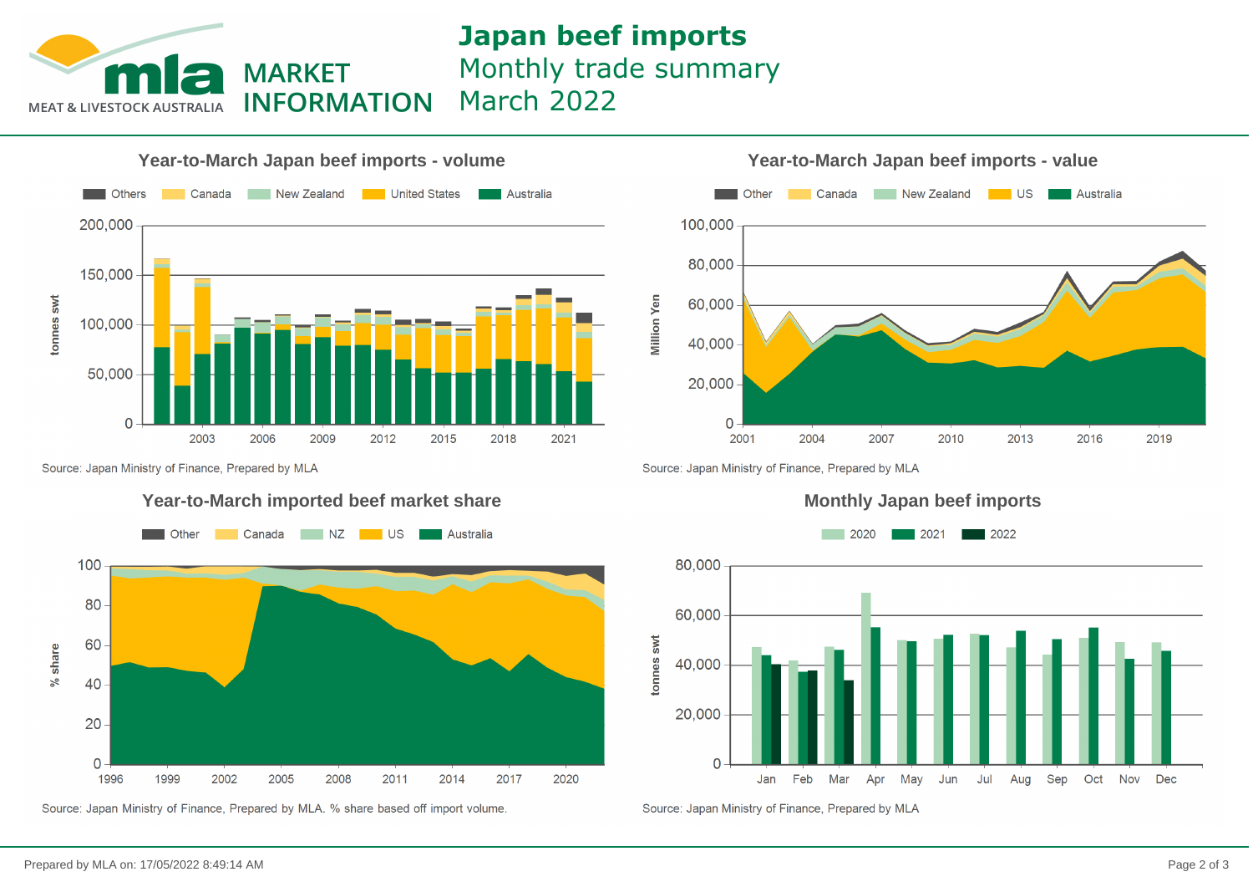

# **Japan beef imports** Monthly trade summary March 2022







Source: Japan Ministry of Finance, Prepared by MLA

### **Year-to-March imported beef market share**



Source: Japan Ministry of Finance, Prepared by MLA. % share based off import volume.

Source: Japan Ministry of Finance, Prepared by MLA

#### **Monthly Japan beef imports**



Source: Japan Ministry of Finance, Prepared by MLA